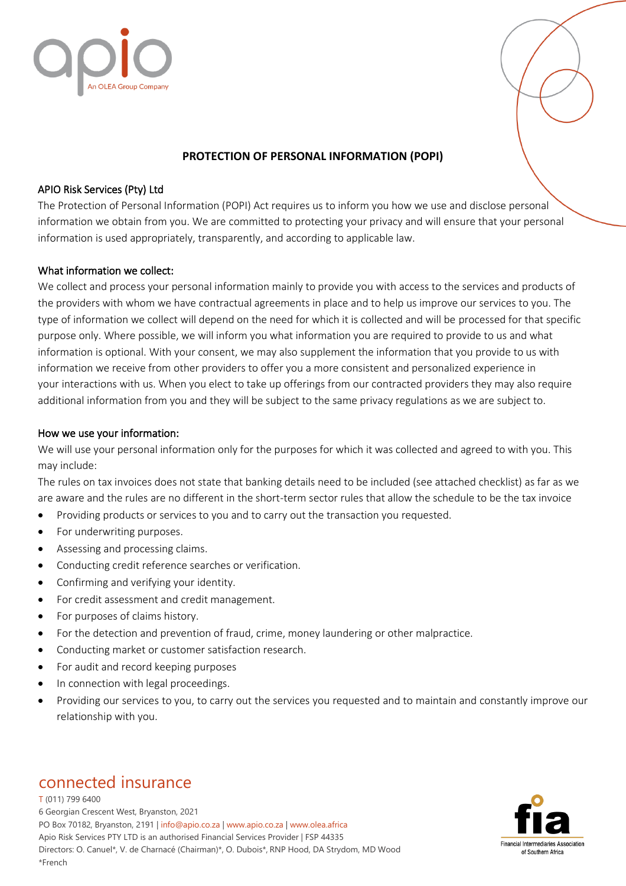



## **PROTECTION OF PERSONAL INFORMATION (POPI)**

### APIO Risk Services (Pty) Ltd

The Protection of Personal Information (POPI) Act requires us to inform you how we use and disclose personal information we obtain from you. We are committed to protecting your privacy and will ensure that your personal information is used appropriately, transparently, and according to applicable law.

## What information we collect:

We collect and process your personal information mainly to provide you with access to the services and products of the providers with whom we have contractual agreements in place and to help us improve our services to you. The type of information we collect will depend on the need for which it is collected and will be processed for that specific purpose only. Where possible, we will inform you what information you are required to provide to us and what information is optional. With your consent, we may also supplement the information that you provide to us with information we receive from other providers to offer you a more consistent and personalized experience in your interactions with us. When you elect to take up offerings from our contracted providers they may also require additional information from you and they will be subject to the same privacy regulations as we are subject to.

## How we use your information:

We will use your personal information only for the purposes for which it was collected and agreed to with you. This may include:

The rules on tax invoices does not state that banking details need to be included (see attached checklist) as far as we are aware and the rules are no different in the short-term sector rules that allow the schedule to be the tax invoice

- Providing products or services to you and to carry out the transaction you requested.
- For underwriting purposes.
- Assessing and processing claims.
- Conducting credit reference searches or verification.
- Confirming and verifying your identity.
- For credit assessment and credit management.
- For purposes of claims history.
- For the detection and prevention of fraud, crime, money laundering or other malpractice.
- Conducting market or customer satisfaction research.
- For audit and record keeping purposes
- In connection with legal proceedings.
- Providing our services to you, to carry out the services you requested and to maintain and constantly improve our relationship with you.

# connected insurance

T (011) 799 6400 6 Georgian Crescent West, Bryanston, 2021 PO Box 70182, Bryanston, 2191 | info@apio.co.za | [www.apio.co.za](http://www.apio.co.za/) | www.olea.africa Apio Risk Services PTY LTD is an authorised Financial Services Provider | FSP 44335 Directors: O. Canuel\*, V. de Charnacé (Chairman)\*, O. Dubois\*, RNP Hood, DA Strydom, MD Wood \*French

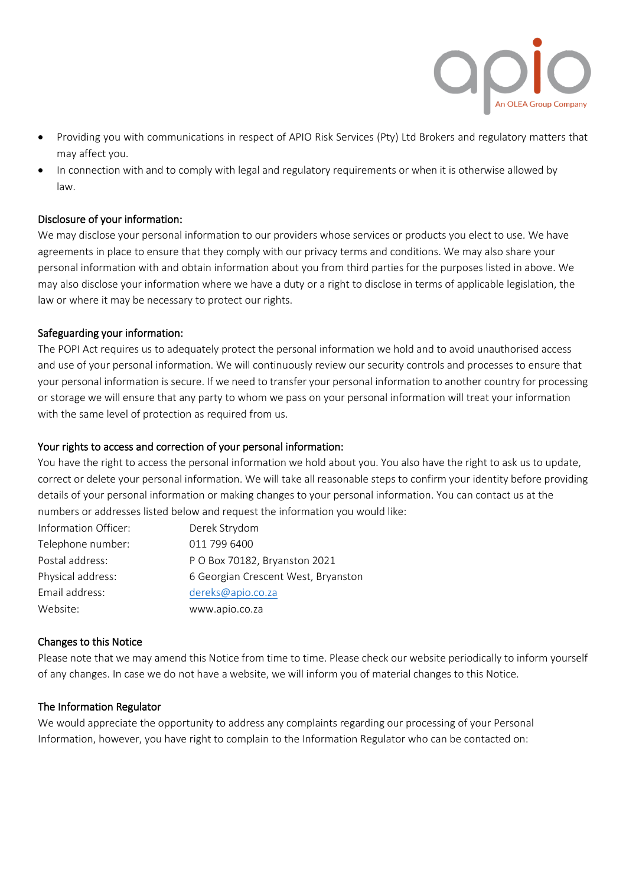

- Providing you with communications in respect of APIO Risk Services (Pty) Ltd Brokers and regulatory matters that may affect you.
- In connection with and to comply with legal and regulatory requirements or when it is otherwise allowed by law.

## Disclosure of your information:

We may disclose your personal information to our providers whose services or products you elect to use. We have agreements in place to ensure that they comply with our privacy terms and conditions. We may also share your personal information with and obtain information about you from third parties for the purposes listed in above. We may also disclose your information where we have a duty or a right to disclose in terms of applicable legislation, the law or where it may be necessary to protect our rights.

### Safeguarding your information:

The POPI Act requires us to adequately protect the personal information we hold and to avoid unauthorised access and use of your personal information. We will continuously review our security controls and processes to ensure that your personal information is secure. If we need to transfer your personal information to another country for processing or storage we will ensure that any party to whom we pass on your personal information will treat your information with the same level of protection as required from us.

## Your rights to access and correction of your personal information:

You have the right to access the personal information we hold about you. You also have the right to ask us to update, correct or delete your personal information. We will take all reasonable steps to confirm your identity before providing details of your personal information or making changes to your personal information. You can contact us at the numbers or addresses listed below and request the information you would like:

| Information Officer: | Derek Strydom                       |
|----------------------|-------------------------------------|
| Telephone number:    | 011 799 6400                        |
| Postal address:      | P O Box 70182, Bryanston 2021       |
| Physical address:    | 6 Georgian Crescent West, Bryanston |
| Email address:       | dereks@apio.co.za                   |
| Website:             | www.apio.co.za                      |

### Changes to this Notice

Please note that we may amend this Notice from time to time. Please check our website periodically to inform yourself of any changes. In case we do not have a website, we will inform you of material changes to this Notice.

### The Information Regulator

We would appreciate the opportunity to address any complaints regarding our processing of your Personal Information, however, you have right to complain to the Information Regulator who can be contacted on: